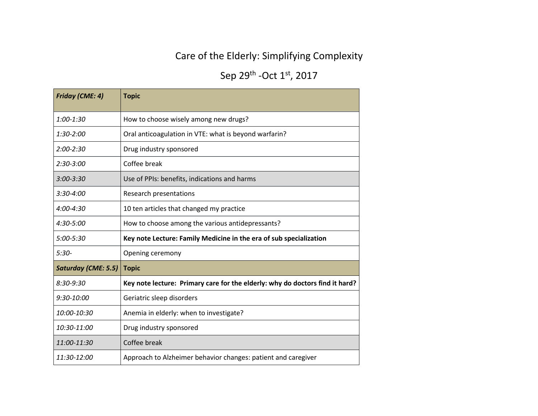## Care of the Elderly: Simplifying Complexity

## Sep 29<sup>th</sup> -Oct 1<sup>st</sup>, 2017

| <b>Friday (CME: 4)</b>     | <b>Topic</b>                                                                 |
|----------------------------|------------------------------------------------------------------------------|
| $1:00-1:30$                | How to choose wisely among new drugs?                                        |
| $1:30-2:00$                | Oral anticoagulation in VTE: what is beyond warfarin?                        |
| $2:00 - 2:30$              | Drug industry sponsored                                                      |
| $2:30-3:00$                | Coffee break                                                                 |
| $3:00 - 3:30$              | Use of PPIs: benefits, indications and harms                                 |
| $3:30 - 4:00$              | Research presentations                                                       |
| $4:00 - 4:30$              | 10 ten articles that changed my practice                                     |
| $4:30 - 5:00$              | How to choose among the various antidepressants?                             |
| 5:00-5:30                  | Key note Lecture: Family Medicine in the era of sub specialization           |
| $5:30-$                    | Opening ceremony                                                             |
| <b>Saturday (CME: 5.5)</b> | <b>Topic</b>                                                                 |
| $8:30 - 9:30$              | Key note lecture: Primary care for the elderly: why do doctors find it hard? |
| $9:30-10:00$               | Geriatric sleep disorders                                                    |
| 10:00-10:30                | Anemia in elderly: when to investigate?                                      |
| 10:30-11:00                | Drug industry sponsored                                                      |
| 11:00-11:30                | Coffee break                                                                 |
| 11:30-12:00                | Approach to Alzheimer behavior changes: patient and caregiver                |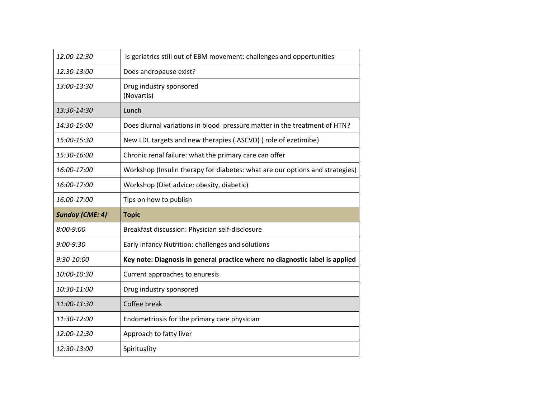| 12:00-12:30            | Is geriatrics still out of EBM movement: challenges and opportunities        |
|------------------------|------------------------------------------------------------------------------|
| 12:30-13:00            | Does andropause exist?                                                       |
| 13:00-13:30            | Drug industry sponsored<br>(Novartis)                                        |
| 13:30-14:30            | Lunch                                                                        |
| 14:30-15:00            | Does diurnal variations in blood pressure matter in the treatment of HTN?    |
| 15:00-15:30            | New LDL targets and new therapies (ASCVD) (role of ezetimibe)                |
| 15:30-16:00            | Chronic renal failure: what the primary care can offer                       |
| 16:00-17:00            | Workshop (Insulin therapy for diabetes: what are our options and strategies) |
| 16:00-17:00            | Workshop (Diet advice: obesity, diabetic)                                    |
| 16:00-17:00            | Tips on how to publish                                                       |
|                        |                                                                              |
| <b>Sunday (CME: 4)</b> | <b>Topic</b>                                                                 |
| $8:00 - 9:00$          | Breakfast discussion: Physician self-disclosure                              |
| $9:00 - 9:30$          | Early infancy Nutrition: challenges and solutions                            |
| 9:30-10:00             | Key note: Diagnosis in general practice where no diagnostic label is applied |
| 10:00-10:30            | Current approaches to enuresis                                               |
| 10:30-11:00            | Drug industry sponsored                                                      |
| 11:00-11:30            | Coffee break                                                                 |
| 11:30-12:00            | Endometriosis for the primary care physician                                 |
| 12:00-12:30            | Approach to fatty liver                                                      |